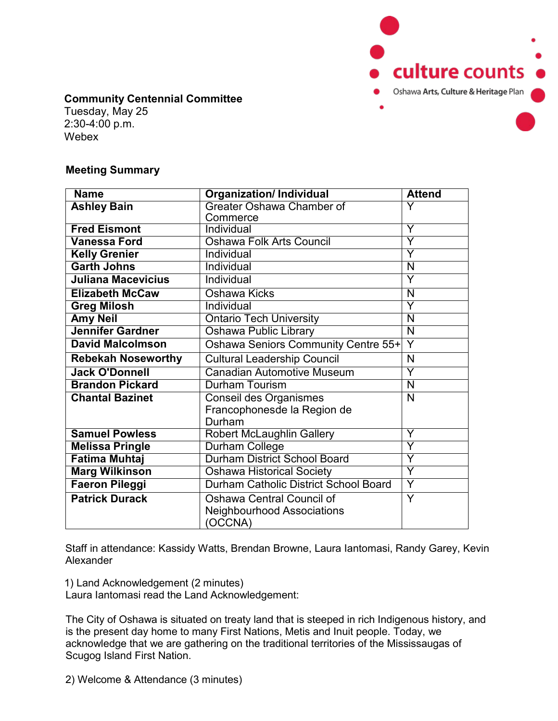

## **Community Centennial Committee**

Tuesday, May 25 2:30-4:00 p.m. Webex

## **Meeting Summary**

| <b>Name</b>               | <b>Organization/Individual</b>        | <b>Attend</b>           |
|---------------------------|---------------------------------------|-------------------------|
| <b>Ashley Bain</b>        | Greater Oshawa Chamber of             | Y                       |
|                           | Commerce                              |                         |
| <b>Fred Eismont</b>       | Individual                            | Ÿ                       |
| <b>Vanessa Ford</b>       | <b>Oshawa Folk Arts Council</b>       | Ÿ                       |
| <b>Kelly Grenier</b>      | Individual                            | Ÿ                       |
| <b>Garth Johns</b>        | Individual                            | N                       |
| <b>Juliana Macevicius</b> | Individual                            | Y                       |
| <b>Elizabeth McCaw</b>    | Oshawa Kicks                          | $\overline{\mathsf{N}}$ |
| <b>Greg Milosh</b>        | Individual                            | Ÿ                       |
| <b>Amy Neil</b>           | <b>Ontario Tech University</b>        | N                       |
| <b>Jennifer Gardner</b>   | Oshawa Public Library                 | $\overline{\mathsf{N}}$ |
| <b>David Malcolmson</b>   | Oshawa Seniors Community Centre 55+   | Y                       |
| <b>Rebekah Noseworthy</b> | <b>Cultural Leadership Council</b>    | N                       |
| <b>Jack O'Donnell</b>     | <b>Canadian Automotive Museum</b>     | Ÿ                       |
| <b>Brandon Pickard</b>    | Durham Tourism                        | N                       |
| <b>Chantal Bazinet</b>    | Conseil des Organismes                | N                       |
|                           | Francophonesde la Region de           |                         |
|                           | Durham                                |                         |
| <b>Samuel Powless</b>     | <b>Robert McLaughlin Gallery</b>      | Y                       |
| <b>Melissa Pringle</b>    | <b>Durham College</b>                 | Y                       |
| <b>Fatima Muhtaj</b>      | <b>Durham District School Board</b>   | Y                       |
| <b>Marg Wilkinson</b>     | <b>Oshawa Historical Society</b>      | Ÿ                       |
| <b>Faeron Pileggi</b>     | Durham Catholic District School Board | Y                       |
| <b>Patrick Durack</b>     | Oshawa Central Council of             | $\overline{Y}$          |
|                           | <b>Neighbourhood Associations</b>     |                         |
|                           | OCCNA)                                |                         |

Staff in attendance: Kassidy Watts, Brendan Browne, Laura Iantomasi, Randy Garey, Kevin Alexander

1) Land Acknowledgement (2 minutes)

Laura Iantomasi read the Land Acknowledgement:

The City of Oshawa is situated on treaty land that is steeped in rich Indigenous history, and is the present day home to many First Nations, Metis and Inuit people. Today, we acknowledge that we are gathering on the traditional territories of the Mississaugas of Scugog Island First Nation.

2) Welcome & Attendance (3 minutes)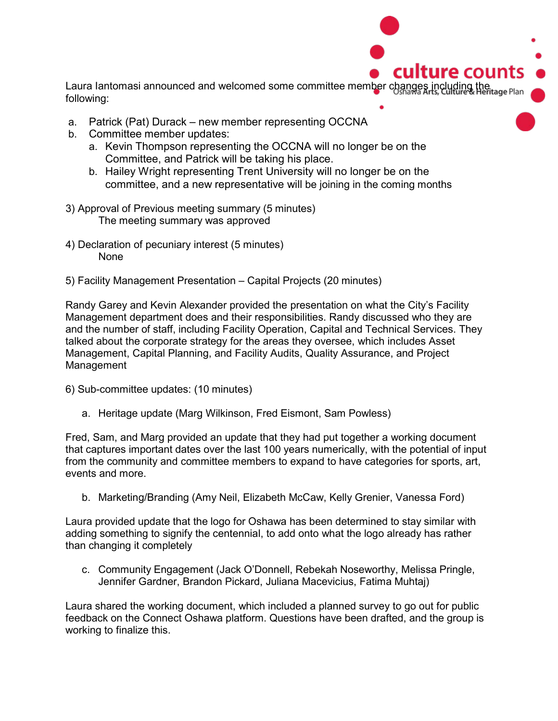

- a. Patrick (Pat) Durack new member representing OCCNA
- b. Committee member updates:
	- a. Kevin Thompson representing the OCCNA will no longer be on the Committee, and Patrick will be taking his place.
	- b. Hailey Wright representing Trent University will no longer be on the committee, and a new representative will be joining in the coming months
- 3) Approval of Previous meeting summary (5 minutes) The meeting summary was approved
- 4) Declaration of pecuniary interest (5 minutes) **None**
- 5) Facility Management Presentation Capital Projects (20 minutes)

Randy Garey and Kevin Alexander provided the presentation on what the City's Facility Management department does and their responsibilities. Randy discussed who they are and the number of staff, including Facility Operation, Capital and Technical Services. They talked about the corporate strategy for the areas they oversee, which includes Asset Management, Capital Planning, and Facility Audits, Quality Assurance, and Project Management

- 6) Sub-committee updates: (10 minutes)
	- a. Heritage update (Marg Wilkinson, Fred Eismont, Sam Powless)

Fred, Sam, and Marg provided an update that they had put together a working document that captures important dates over the last 100 years numerically, with the potential of input from the community and committee members to expand to have categories for sports, art, events and more.

b. Marketing/Branding (Amy Neil, Elizabeth McCaw, Kelly Grenier, Vanessa Ford)

Laura provided update that the logo for Oshawa has been determined to stay similar with adding something to signify the centennial, to add onto what the logo already has rather than changing it completely

c. Community Engagement (Jack O'Donnell, Rebekah Noseworthy, Melissa Pringle, Jennifer Gardner, Brandon Pickard, Juliana Macevicius, Fatima Muhtaj)

Laura shared the working document, which included a planned survey to go out for public feedback on the Connect Oshawa platform. Questions have been drafted, and the group is working to finalize this.